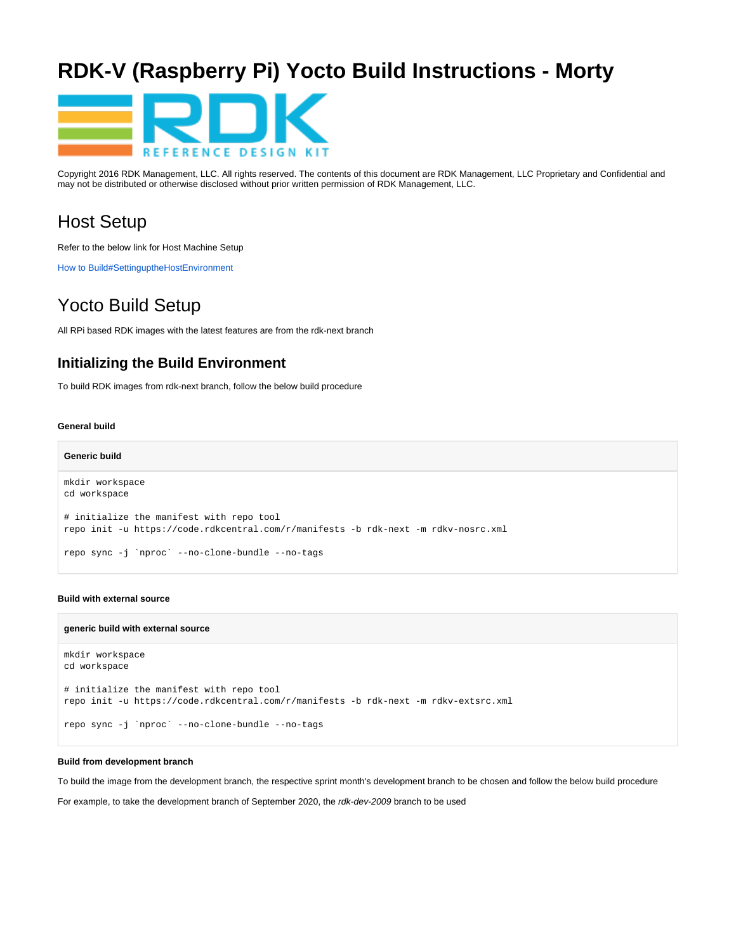# **RDK-V (Raspberry Pi) Yocto Build Instructions - Morty**



Copyright 2016 RDK Management, LLC. All rights reserved. The contents of this document are RDK Management, LLC Proprietary and Confidential and may not be distributed or otherwise disclosed without prior written permission of RDK Management, LLC.

## Host Setup

Refer to the below link for Host Machine Setup

[How to Build#SettinguptheHostEnvironment](https://wiki.rdkcentral.com/display/RDK/How+to+Build#HowtoBuild-SettinguptheHostEnvironment)

## Yocto Build Setup

All RPi based RDK images with the latest features are from the rdk-next branch

### **Initializing the Build Environment**

To build RDK images from rdk-next branch, follow the below build procedure

#### **General build**

```
Generic build
mkdir workspace
cd workspace
# initialize the manifest with repo tool
repo init -u https://code.rdkcentral.com/r/manifests -b rdk-next -m rdkv-nosrc.xml
repo sync -j `nproc` --no-clone-bundle --no-tags
```
#### **Build with external source**

#### **generic build with external source**

```
mkdir workspace
cd workspace
# initialize the manifest with repo tool
repo init -u https://code.rdkcentral.com/r/manifests -b rdk-next -m rdkv-extsrc.xml
repo sync -j `nproc` --no-clone-bundle --no-tags
```
#### **Build from development branch**

To build the image from the development branch, the respective sprint month's development branch to be chosen and follow the below build procedure

For example, to take the development branch of September 2020, the rdk-dev-2009 branch to be used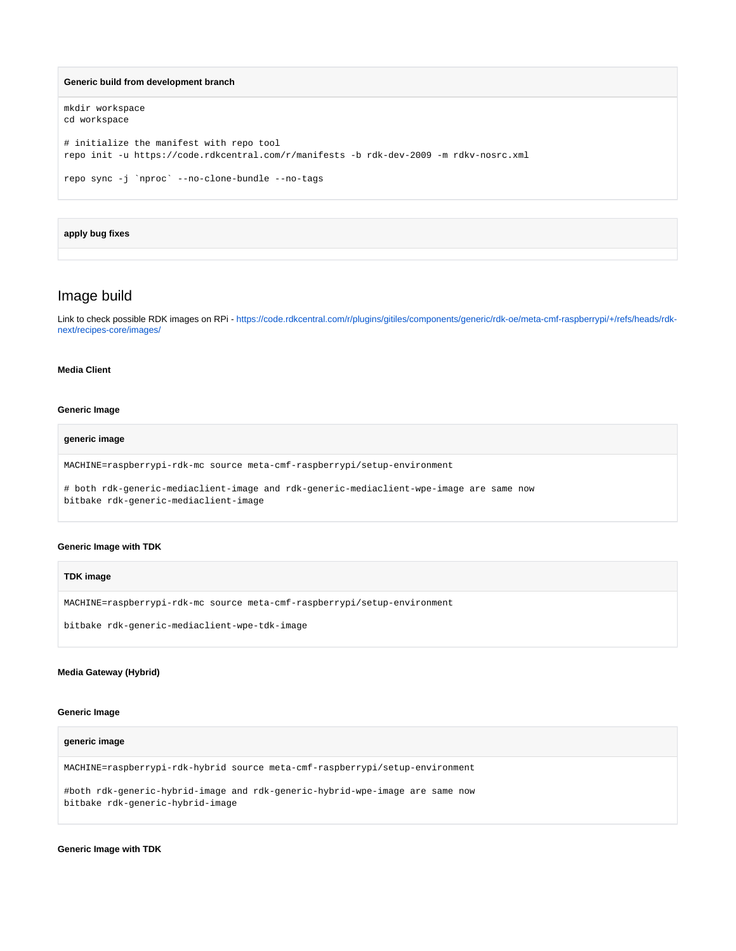```
Generic build from development branch
```

```
mkdir workspace
cd workspace
# initialize the manifest with repo tool
repo init -u https://code.rdkcentral.com/r/manifests -b rdk-dev-2009 -m rdkv-nosrc.xml
repo sync -j `nproc` --no-clone-bundle --no-tags
```
#### **apply bug fixes**

### Image build

Link to check possible RDK images on RPi - [https://code.rdkcentral.com/r/plugins/gitiles/components/generic/rdk-oe/meta-cmf-raspberrypi/+/refs/heads/rdk](https://code.rdkcentral.com/r/plugins/gitiles/components/generic/rdk-oe/meta-cmf-raspberrypi/+/refs/heads/rdk-next/recipes-core/images/)[next/recipes-core/images/](https://code.rdkcentral.com/r/plugins/gitiles/components/generic/rdk-oe/meta-cmf-raspberrypi/+/refs/heads/rdk-next/recipes-core/images/)

#### **Media Client**

#### **Generic Image**

#### **generic image**

MACHINE=raspberrypi-rdk-mc source meta-cmf-raspberrypi/setup-environment

# both rdk-generic-mediaclient-image and rdk-generic-mediaclient-wpe-image are same now bitbake rdk-generic-mediaclient-image

#### **Generic Image with TDK**

#### **TDK image**

MACHINE=raspberrypi-rdk-mc source meta-cmf-raspberrypi/setup-environment

bitbake rdk-generic-mediaclient-wpe-tdk-image

#### **Media Gateway (Hybrid)**

#### **Generic Image**

#### **generic image**

MACHINE=raspberrypi-rdk-hybrid source meta-cmf-raspberrypi/setup-environment

#both rdk-generic-hybrid-image and rdk-generic-hybrid-wpe-image are same now bitbake rdk-generic-hybrid-image

**Generic Image with TDK**